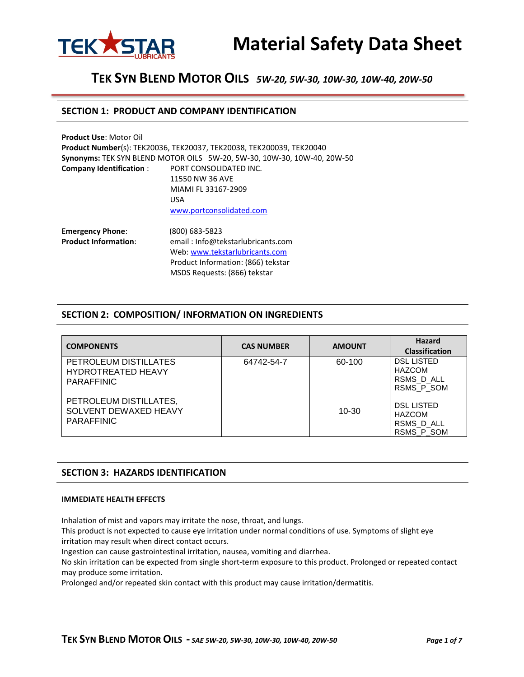

## **SECTION 1: PRODUCT AND COMPANY IDENTIFICATION**

| <b>Product Use: Motor Oil</b>  |                                                                         |
|--------------------------------|-------------------------------------------------------------------------|
|                                | Product Number(s): TEK20036, TEK20037, TEK20038, TEK200039, TEK20040    |
|                                | Synonyms: TEK SYN BLEND MOTOR OILS 5W-20, 5W-30, 10W-30, 10W-40, 20W-50 |
| <b>Company Identification:</b> | PORT CONSOLIDATED INC.                                                  |
|                                | 11550 NW 36 AVE                                                         |
|                                | MIAMI FL 33167-2909                                                     |
|                                | <b>USA</b>                                                              |
|                                | www.portconsolidated.com                                                |
| <b>Emergency Phone:</b>        | $(800)$ 683-5823                                                        |
| <b>Product Information:</b>    | email: Info@tekstarlubricants.com                                       |
|                                | Web: www.tekstarlubricants.com                                          |
|                                | Product Information: (866) tekstar                                      |
|                                | MSDS Requests: (866) tekstar                                            |

# **SECTION 2: COMPOSITION/ INFORMATION ON INGREDIENTS**

| <b>COMPONENTS</b>                                                       | <b>CAS NUMBER</b> | <b>AMOUNT</b> | <b>Hazard</b><br><b>Classification</b>                         |
|-------------------------------------------------------------------------|-------------------|---------------|----------------------------------------------------------------|
| PETROLEUM DISTILLATES<br><b>HYDROTREATED HEAVY</b><br><b>PARAFFINIC</b> | 64742-54-7        | 60-100        | <b>DSL LISTED</b><br><b>HAZCOM</b><br>RSMS D ALL<br>RSMS P_SOM |
| PETROLEUM DISTILLATES,<br>SOLVENT DEWAXED HEAVY<br><b>PARAFFINIC</b>    |                   | $10 - 30$     | <b>DSL LISTED</b><br><b>HAZCOM</b><br>RSMS D ALL<br>RSMS_P_SOM |

# **SECTION 3: HAZARDS IDENTIFICATION**

#### **IMMEDIATE HEALTH EFFECTS**

Inhalation of mist and vapors may irritate the nose, throat, and lungs.

This product is not expected to cause eye irritation under normal conditions of use. Symptoms of slight eye irritation may result when direct contact occurs.

Ingestion can cause gastrointestinal irritation, nausea, vomiting and diarrhea.

No skin irritation can be expected from single short-term exposure to this product. Prolonged or repeated contact may produce some irritation.

Prolonged and/or repeated skin contact with this product may cause irritation/dermatitis.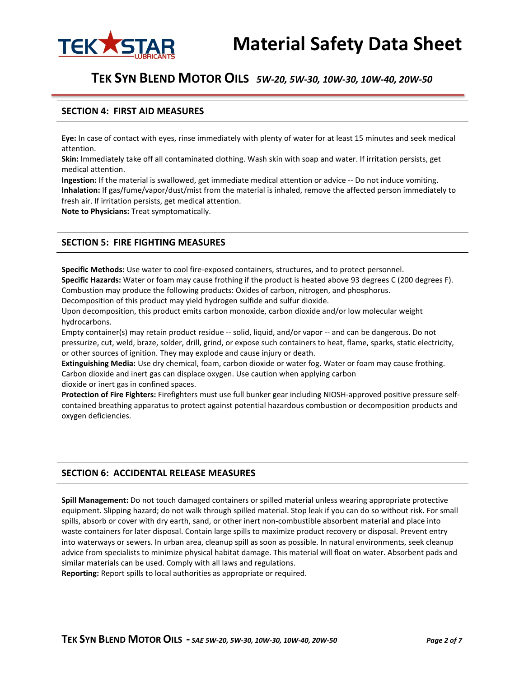

## **SECTION 4: FIRST AID MEASURES**

**Eye:** In case of contact with eyes, rinse immediately with plenty of water for at least 15 minutes and seek medical attention.

**Skin:** Immediately take off all contaminated clothing. Wash skin with soap and water. If irritation persists, get medical attention.

**Ingestion:** If the material is swallowed, get immediate medical attention or advice -- Do not induce vomiting. **Inhalation:** If gas/fume/vapor/dust/mist from the material is inhaled, remove the affected person immediately to fresh air. If irritation persists, get medical attention.

**Note to Physicians:** Treat symptomatically.

# **SECTION 5: FIRE FIGHTING MEASURES**

**Specific Methods:** Use water to cool fire-exposed containers, structures, and to protect personnel. **Specific Hazards:** Water or foam may cause frothing if the product is heated above 93 degrees C (200 degrees F). Combustion may produce the following products: Oxides of carbon, nitrogen, and phosphorus.

Decomposition of this product may yield hydrogen sulfide and sulfur dioxide.

Upon decomposition, this product emits carbon monoxide, carbon dioxide and/or low molecular weight hydrocarbons.

Empty container(s) may retain product residue -- solid, liquid, and/or vapor -- and can be dangerous. Do not pressurize, cut, weld, braze, solder, drill, grind, or expose such containers to heat, flame, sparks, static electricity, or other sources of ignition. They may explode and cause injury or death.

**Extinguishing Media:** Use dry chemical, foam, carbon dioxide or water fog. Water or foam may cause frothing. Carbon dioxide and inert gas can displace oxygen. Use caution when applying carbon dioxide or inert gas in confined spaces.

**Protection of Fire Fighters:** Firefighters must use full bunker gear including NIOSH-approved positive pressure selfcontained breathing apparatus to protect against potential hazardous combustion or decomposition products and oxygen deficiencies.

# **SECTION 6: ACCIDENTAL RELEASE MEASURES**

**Spill Management:** Do not touch damaged containers or spilled material unless wearing appropriate protective equipment. Slipping hazard; do not walk through spilled material. Stop leak if you can do so without risk. For small spills, absorb or cover with dry earth, sand, or other inert non-combustible absorbent material and place into waste containers for later disposal. Contain large spills to maximize product recovery or disposal. Prevent entry into waterways or sewers. In urban area, cleanup spill as soon as possible. In natural environments, seek cleanup advice from specialists to minimize physical habitat damage. This material will float on water. Absorbent pads and similar materials can be used. Comply with all laws and regulations.

**Reporting:** Report spills to local authorities as appropriate or required.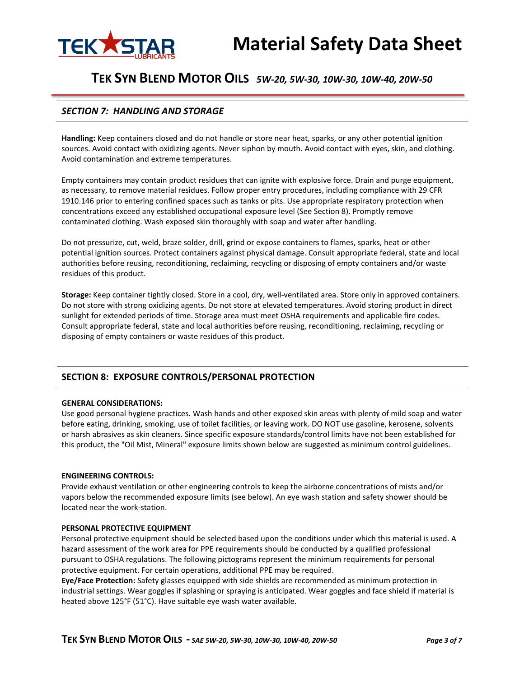

# *SECTION 7: HANDLING AND STORAGE*

**Handling:** Keep containers closed and do not handle or store near heat, sparks, or any other potential ignition sources. Avoid contact with oxidizing agents. Never siphon by mouth. Avoid contact with eyes, skin, and clothing. Avoid contamination and extreme temperatures.

Empty containers may contain product residues that can ignite with explosive force. Drain and purge equipment, as necessary, to remove material residues. Follow proper entry procedures, including compliance with 29 CFR 1910.146 prior to entering confined spaces such as tanks or pits. Use appropriate respiratory protection when concentrations exceed any established occupational exposure level (See Section 8). Promptly remove contaminated clothing. Wash exposed skin thoroughly with soap and water after handling.

Do not pressurize, cut, weld, braze solder, drill, grind or expose containers to flames, sparks, heat or other potential ignition sources. Protect containers against physical damage. Consult appropriate federal, state and local authorities before reusing, reconditioning, reclaiming, recycling or disposing of empty containers and/or waste residues of this product.

**Storage:** Keep container tightly closed. Store in a cool, dry, well-ventilated area. Store only in approved containers. Do not store with strong oxidizing agents. Do not store at elevated temperatures. Avoid storing product in direct sunlight for extended periods of time. Storage area must meet OSHA requirements and applicable fire codes. Consult appropriate federal, state and local authorities before reusing, reconditioning, reclaiming, recycling or disposing of empty containers or waste residues of this product.

# **SECTION 8: EXPOSURE CONTROLS/PERSONAL PROTECTION**

#### **GENERAL CONSIDERATIONS:**

Use good personal hygiene practices. Wash hands and other exposed skin areas with plenty of mild soap and water before eating, drinking, smoking, use of toilet facilities, or leaving work. DO NOT use gasoline, kerosene, solvents or harsh abrasives as skin cleaners. Since specific exposure standards/control limits have not been established for this product, the "Oil Mist, Mineral" exposure limits shown below are suggested as minimum control guidelines.

#### **ENGINEERING CONTROLS:**

Provide exhaust ventilation or other engineering controls to keep the airborne concentrations of mists and/or vapors below the recommended exposure limits (see below). An eye wash station and safety shower should be located near the work-station.

#### **PERSONAL PROTECTIVE EQUIPMENT**

Personal protective equipment should be selected based upon the conditions under which this material is used. A hazard assessment of the work area for PPE requirements should be conducted by a qualified professional pursuant to OSHA regulations. The following pictograms represent the minimum requirements for personal protective equipment. For certain operations, additional PPE may be required.

**Eye/Face Protection:** Safety glasses equipped with side shields are recommended as minimum protection in industrial settings. Wear goggles if splashing or spraying is anticipated. Wear goggles and face shield if material is heated above 125°F (51°C). Have suitable eye wash water available.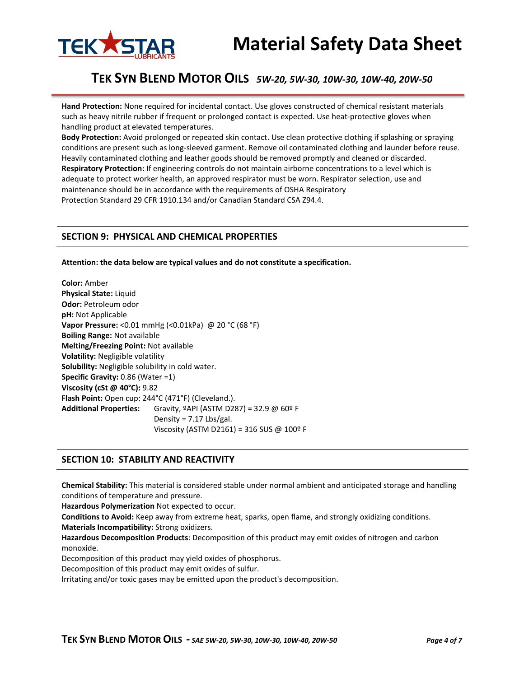

# **Material Safety Data Sheet**

# **TEK SYN BLEND MOTOR OILS** *5W-20, 5W-30, 10W-30, 10W-40, 20W-50*

**Hand Protection:** None required for incidental contact. Use gloves constructed of chemical resistant materials such as heavy nitrile rubber if frequent or prolonged contact is expected. Use heat-protective gloves when handling product at elevated temperatures.

**Body Protection:** Avoid prolonged or repeated skin contact. Use clean protective clothing if splashing or spraying conditions are present such as long-sleeved garment. Remove oil contaminated clothing and launder before reuse. Heavily contaminated clothing and leather goods should be removed promptly and cleaned or discarded. **Respiratory Protection:** If engineering controls do not maintain airborne concentrations to a level which is adequate to protect worker health, an approved respirator must be worn. Respirator selection, use and maintenance should be in accordance with the requirements of OSHA Respiratory Protection Standard 29 CFR 1910.134 and/or Canadian Standard CSA Z94.4.

### **SECTION 9: PHYSICAL AND CHEMICAL PROPERTIES**

#### **Attention: the data below are typical values and do not constitute a specification.**

**Color:** Amber **Physical State:** Liquid **Odor:** Petroleum odor **pH:** Not Applicable **Vapor Pressure:** <0.01 mmHg (<0.01kPa) @ 20 °C (68 °F) **Boiling Range:** Not available **Melting/Freezing Point:** Not available **Volatility:** Negligible volatility **Solubility:** Negligible solubility in cold water. **Specific Gravity:** 0.86 (Water =1) **Viscosity (cSt @ 40°C):** 9.82 **Flash Point:** Open cup: 244°C (471°F) (Cleveland.). **Additional Properties:** Gravity, ºAPI (ASTM D287) = 32.9 @ 60º F Density = 7.17 Lbs/gal. Viscosity (ASTM D2161) = 316 SUS @ 100º F

### **SECTION 10: STABILITY AND REACTIVITY**

**Chemical Stability:** This material is considered stable under normal ambient and anticipated storage and handling conditions of temperature and pressure.

**Hazardous Polymerization** Not expected to occur.

**Conditions to Avoid:** Keep away from extreme heat, sparks, open flame, and strongly oxidizing conditions.

**Materials Incompatibility:** Strong oxidizers.

**Hazardous Decomposition Products**: Decomposition of this product may emit oxides of nitrogen and carbon monoxide.

Decomposition of this product may yield oxides of phosphorus.

Decomposition of this product may emit oxides of sulfur.

Irritating and/or toxic gases may be emitted upon the product's decomposition.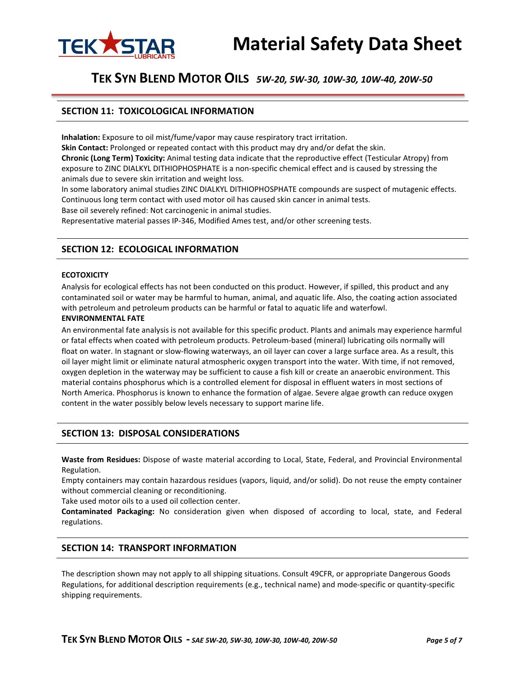

# **Material Safety Data Sheet**

# **TEK SYN BLEND MOTOR OILS** *5W-20, 5W-30, 10W-30, 10W-40, 20W-50*

# **SECTION 11: TOXICOLOGICAL INFORMATION**

**Inhalation:** Exposure to oil mist/fume/vapor may cause respiratory tract irritation.

**Skin Contact:** Prolonged or repeated contact with this product may dry and/or defat the skin. **Chronic (Long Term) Toxicity:** Animal testing data indicate that the reproductive effect (Testicular Atropy) from exposure to ZINC DIALKYL DITHIOPHOSPHATE is a non-specific chemical effect and is caused by stressing the animals due to severe skin irritation and weight loss.

In some laboratory animal studies ZINC DIALKYL DITHIOPHOSPHATE compounds are suspect of mutagenic effects. Continuous long term contact with used motor oil has caused skin cancer in animal tests. Base oil severely refined: Not carcinogenic in animal studies.

Representative material passes IP-346, Modified Ames test, and/or other screening tests.

# **SECTION 12: ECOLOGICAL INFORMATION**

#### **ECOTOXICITY**

Analysis for ecological effects has not been conducted on this product. However, if spilled, this product and any contaminated soil or water may be harmful to human, animal, and aquatic life. Also, the coating action associated with petroleum and petroleum products can be harmful or fatal to aquatic life and waterfowl.

#### **ENVIRONMENTAL FATE**

An environmental fate analysis is not available for this specific product. Plants and animals may experience harmful or fatal effects when coated with petroleum products. Petroleum-based (mineral) lubricating oils normally will float on water. In stagnant or slow-flowing waterways, an oil layer can cover a large surface area. As a result, this oil layer might limit or eliminate natural atmospheric oxygen transport into the water. With time, if not removed, oxygen depletion in the waterway may be sufficient to cause a fish kill or create an anaerobic environment. This material contains phosphorus which is a controlled element for disposal in effluent waters in most sections of North America. Phosphorus is known to enhance the formation of algae. Severe algae growth can reduce oxygen content in the water possibly below levels necessary to support marine life.

### **SECTION 13: DISPOSAL CONSIDERATIONS**

**Waste from Residues:** Dispose of waste material according to Local, State, Federal, and Provincial Environmental Regulation.

Empty containers may contain hazardous residues (vapors, liquid, and/or solid). Do not reuse the empty container without commercial cleaning or reconditioning.

Take used motor oils to a used oil collection center.

**Contaminated Packaging:** No consideration given when disposed of according to local, state, and Federal regulations.

### **SECTION 14: TRANSPORT INFORMATION**

The description shown may not apply to all shipping situations. Consult 49CFR, or appropriate Dangerous Goods Regulations, for additional description requirements (e.g., technical name) and mode-specific or quantity-specific shipping requirements.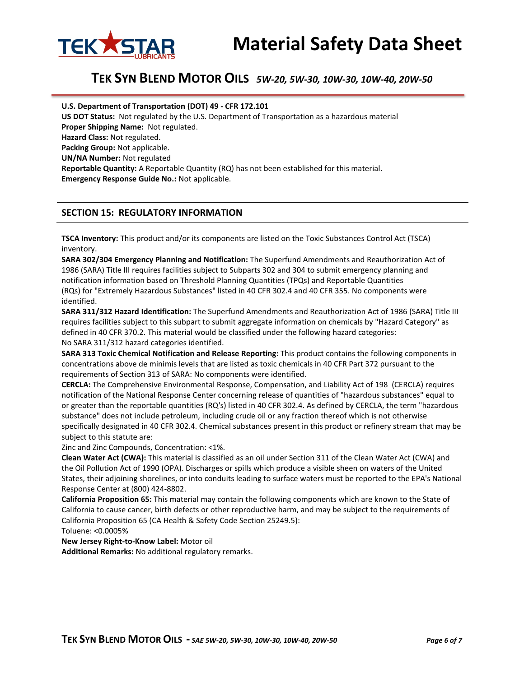



#### **U.S. Department of Transportation (DOT) 49 - CFR 172.101**

**US DOT Status:** Not regulated by the U.S. Department of Transportation as a hazardous material **Proper Shipping Name:** Not regulated. **Hazard Class:** Not regulated. **Packing Group:** Not applicable. **UN/NA Number:** Not regulated **Reportable Quantity:** A Reportable Quantity (RQ) has not been established for this material. **Emergency Response Guide No.:** Not applicable.

### **SECTION 15: REGULATORY INFORMATION**

**TSCA Inventory:** This product and/or its components are listed on the Toxic Substances Control Act (TSCA) inventory.

**SARA 302/304 Emergency Planning and Notification:** The Superfund Amendments and Reauthorization Act of 1986 (SARA) Title III requires facilities subject to Subparts 302 and 304 to submit emergency planning and notification information based on Threshold Planning Quantities (TPQs) and Reportable Quantities (RQs) for "Extremely Hazardous Substances" listed in 40 CFR 302.4 and 40 CFR 355. No components were identified.

**SARA 311/312 Hazard Identification:** The Superfund Amendments and Reauthorization Act of 1986 (SARA) Title III requires facilities subject to this subpart to submit aggregate information on chemicals by "Hazard Category" as defined in 40 CFR 370.2. This material would be classified under the following hazard categories: No SARA 311/312 hazard categories identified.

**SARA 313 Toxic Chemical Notification and Release Reporting:** This product contains the following components in concentrations above de minimis levels that are listed as toxic chemicals in 40 CFR Part 372 pursuant to the requirements of Section 313 of SARA: No components were identified.

**CERCLA:** The Comprehensive Environmental Response, Compensation, and Liability Act of 198 (CERCLA) requires notification of the National Response Center concerning release of quantities of "hazardous substances" equal to or greater than the reportable quantities (RQ's) listed in 40 CFR 302.4. As defined by CERCLA, the term "hazardous substance" does not include petroleum, including crude oil or any fraction thereof which is not otherwise specifically designated in 40 CFR 302.4. Chemical substances present in this product or refinery stream that may be subject to this statute are:

Zinc and Zinc Compounds, Concentration: <1%.

**Clean Water Act (CWA):** This material is classified as an oil under Section 311 of the Clean Water Act (CWA) and the Oil Pollution Act of 1990 (OPA). Discharges or spills which produce a visible sheen on waters of the United States, their adjoining shorelines, or into conduits leading to surface waters must be reported to the EPA's National Response Center at (800) 424-8802.

**California Proposition 65:** This material may contain the following components which are known to the State of California to cause cancer, birth defects or other reproductive harm, and may be subject to the requirements of California Proposition 65 (CA Health & Safety Code Section 25249.5):

Toluene: <0.0005%

**New Jersey Right-to-Know Label:** Motor oil

**Additional Remarks:** No additional regulatory remarks.